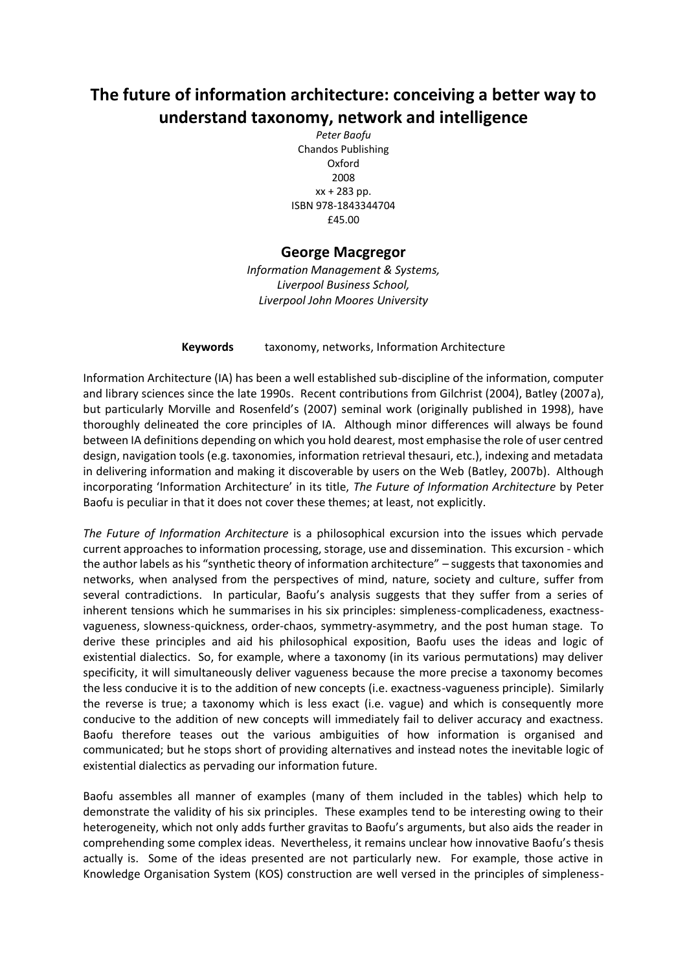## **The future of information architecture: conceiving a better way to understand taxonomy, network and intelligence**

*Peter Baofu* Chandos Publishing Oxford 2008 xx + 283 pp. ISBN 978-1843344704 £45.00

## **George Macgregor**

*Information Management & Systems, Liverpool Business School, Liverpool John Moores University*

## Keywords taxonomy, networks, Information Architecture

Information Architecture (IA) has been a well established sub-discipline of the information, computer and library sciences since the late 1990s. Recent contributions from Gilchrist (2004), Batley (2007a), but particularly Morville and Rosenfeld's (2007) seminal work (originally published in 1998), have thoroughly delineated the core principles of IA. Although minor differences will always be found between IA definitions depending on which you hold dearest, most emphasise the role of user centred design, navigation tools (e.g. taxonomies, information retrieval thesauri, etc.), indexing and metadata in delivering information and making it discoverable by users on the Web (Batley, 2007b). Although incorporating 'Information Architecture' in its title, *The Future of Information Architecture* by Peter Baofu is peculiar in that it does not cover these themes; at least, not explicitly.

*The Future of Information Architecture* is a philosophical excursion into the issues which pervade current approaches to information processing, storage, use and dissemination. This excursion - which the author labels as his "synthetic theory of information architecture" – suggests that taxonomies and networks, when analysed from the perspectives of mind, nature, society and culture, suffer from several contradictions. In particular, Baofu's analysis suggests that they suffer from a series of inherent tensions which he summarises in his six principles: simpleness-complicadeness, exactnessvagueness, slowness-quickness, order-chaos, symmetry-asymmetry, and the post human stage. To derive these principles and aid his philosophical exposition, Baofu uses the ideas and logic of existential dialectics. So, for example, where a taxonomy (in its various permutations) may deliver specificity, it will simultaneously deliver vagueness because the more precise a taxonomy becomes the less conducive it is to the addition of new concepts (i.e. exactness-vagueness principle). Similarly the reverse is true; a taxonomy which is less exact (i.e. vague) and which is consequently more conducive to the addition of new concepts will immediately fail to deliver accuracy and exactness. Baofu therefore teases out the various ambiguities of how information is organised and communicated; but he stops short of providing alternatives and instead notes the inevitable logic of existential dialectics as pervading our information future.

Baofu assembles all manner of examples (many of them included in the tables) which help to demonstrate the validity of his six principles. These examples tend to be interesting owing to their heterogeneity, which not only adds further gravitas to Baofu's arguments, but also aids the reader in comprehending some complex ideas. Nevertheless, it remains unclear how innovative Baofu's thesis actually is. Some of the ideas presented are not particularly new. For example, those active in Knowledge Organisation System (KOS) construction are well versed in the principles of simpleness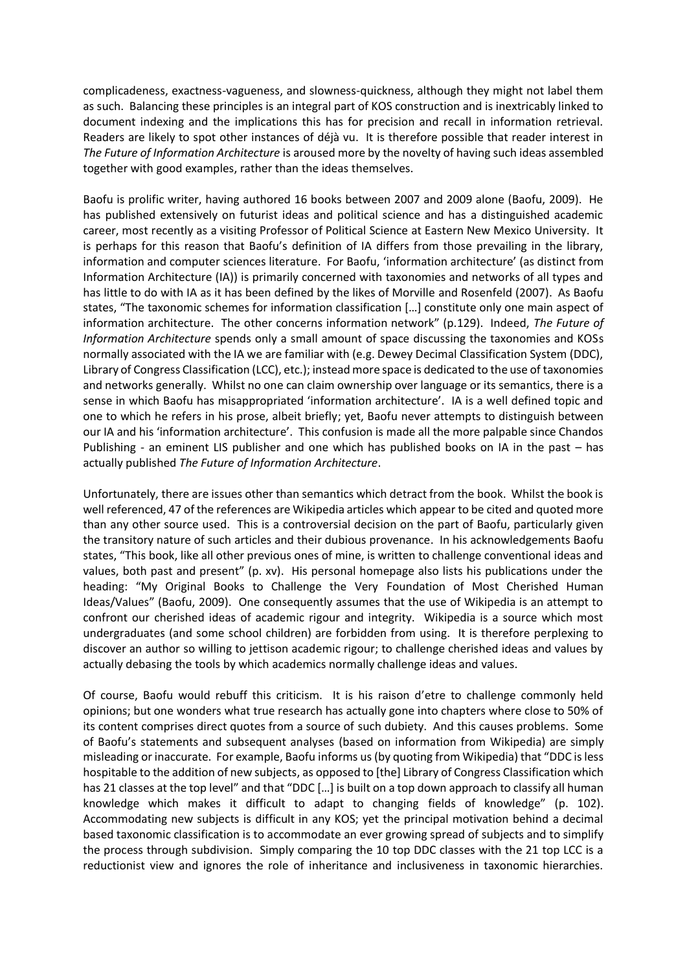complicadeness, exactness-vagueness, and slowness-quickness, although they might not label them as such. Balancing these principles is an integral part of KOS construction and is inextricably linked to document indexing and the implications this has for precision and recall in information retrieval. Readers are likely to spot other instances of déjà vu. It is therefore possible that reader interest in *The Future of Information Architecture* is aroused more by the novelty of having such ideas assembled together with good examples, rather than the ideas themselves.

Baofu is prolific writer, having authored 16 books between 2007 and 2009 alone (Baofu, 2009). He has published extensively on futurist ideas and political science and has a distinguished academic career, most recently as a visiting Professor of Political Science at Eastern New Mexico University. It is perhaps for this reason that Baofu's definition of IA differs from those prevailing in the library, information and computer sciences literature. For Baofu, 'information architecture' (as distinct from Information Architecture (IA)) is primarily concerned with taxonomies and networks of all types and has little to do with IA as it has been defined by the likes of Morville and Rosenfeld (2007). As Baofu states, "The taxonomic schemes for information classification […] constitute only one main aspect of information architecture. The other concerns information network" (p.129). Indeed, *The Future of Information Architecture* spends only a small amount of space discussing the taxonomies and KOSs normally associated with the IA we are familiar with (e.g. Dewey Decimal Classification System (DDC), Library of Congress Classification (LCC), etc.); instead more space is dedicated to the use of taxonomies and networks generally. Whilst no one can claim ownership over language or its semantics, there is a sense in which Baofu has misappropriated 'information architecture'. IA is a well defined topic and one to which he refers in his prose, albeit briefly; yet, Baofu never attempts to distinguish between our IA and his 'information architecture'. This confusion is made all the more palpable since Chandos Publishing - an eminent LIS publisher and one which has published books on IA in the past – has actually published *The Future of Information Architecture*.

Unfortunately, there are issues other than semantics which detract from the book. Whilst the book is well referenced, 47 of the references are Wikipedia articles which appear to be cited and quoted more than any other source used. This is a controversial decision on the part of Baofu, particularly given the transitory nature of such articles and their dubious provenance. In his acknowledgements Baofu states, "This book, like all other previous ones of mine, is written to challenge conventional ideas and values, both past and present" (p. xv). His personal homepage also lists his publications under the heading: "My Original Books to Challenge the Very Foundation of Most Cherished Human Ideas/Values" (Baofu, 2009). One consequently assumes that the use of Wikipedia is an attempt to confront our cherished ideas of academic rigour and integrity. Wikipedia is a source which most undergraduates (and some school children) are forbidden from using. It is therefore perplexing to discover an author so willing to jettison academic rigour; to challenge cherished ideas and values by actually debasing the tools by which academics normally challenge ideas and values.

Of course, Baofu would rebuff this criticism. It is his raison d'etre to challenge commonly held opinions; but one wonders what true research has actually gone into chapters where close to 50% of its content comprises direct quotes from a source of such dubiety. And this causes problems. Some of Baofu's statements and subsequent analyses (based on information from Wikipedia) are simply misleading or inaccurate. For example, Baofu informs us (by quoting from Wikipedia) that "DDC is less hospitable to the addition of new subjects, as opposed to [the] Library of Congress Classification which has 21 classes at the top level" and that "DDC [...] is built on a top down approach to classify all human knowledge which makes it difficult to adapt to changing fields of knowledge" (p. 102). Accommodating new subjects is difficult in any KOS; yet the principal motivation behind a decimal based taxonomic classification is to accommodate an ever growing spread of subjects and to simplify the process through subdivision. Simply comparing the 10 top DDC classes with the 21 top LCC is a reductionist view and ignores the role of inheritance and inclusiveness in taxonomic hierarchies.